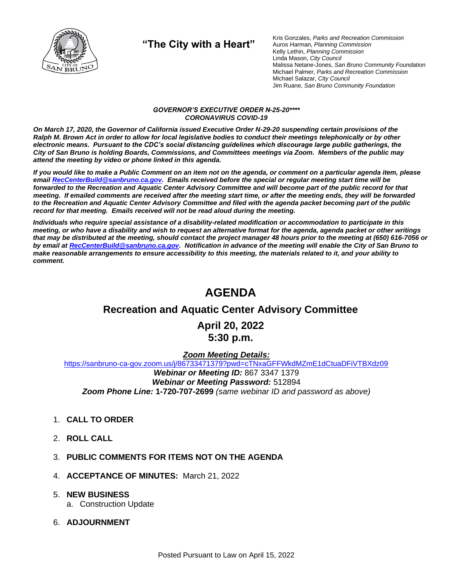

**"The City with a Heart"**

Kris Gonzales, *Parks and Recreation Commission* Auros Harman, *Planning Commission* Kelly Lethin, *Planning Commission* Linda Mason, *City Council* Malissa Netane-Jones, *San Bruno Community Foundation* Michael Palmer, *Parks and Recreation Commission* Michael Salazar, *City Council* Jim Ruane, *San Bruno Community Foundation*

#### *GOVERNOR'S EXECUTIVE ORDER N-25-20\*\*\*\* CORONAVIRUS COVID-19*

*On March 17, 2020, the Governor of California issued Executive Order N-29-20 suspending certain provisions of the Ralph M. Brown Act in order to allow for local legislative bodies to conduct their meetings telephonically or by other electronic means. Pursuant to the CDC's social distancing guidelines which discourage large public gatherings, the City of San Bruno is holding Boards, Commissions, and Committees meetings via Zoom. Members of the public may attend the meeting by video or phone linked in this agenda.*

*If you would like to make a Public Comment on an item not on the agenda, or comment on a particular agenda item, please emai[l RecCenterBuild@sanbruno.ca.gov.](mailto:RecCenterBuild@sanbruno.ca.gov) Emails received before the special or regular meeting start time will be forwarded to the Recreation and Aquatic Center Advisory Committee and will become part of the public record for that meeting. If emailed comments are received after the meeting start time, or after the meeting ends, they will be forwarded to the Recreation and Aquatic Center Advisory Committee and filed with the agenda packet becoming part of the public record for that meeting. Emails received will not be read aloud during the meeting.* 

*Individuals who require special assistance of a disability-related modification or accommodation to participate in this meeting, or who have a disability and wish to request an alternative format for the agenda, agenda packet or other writings that may be distributed at the meeting, should contact the project manager 48 hours prior to the meeting at (650) 616-7056 or by email a[t RecCenterBuild@sanbruno.ca.gov.](mailto:RecCenterBuild@sanbruno.ca.gov) Notification in advance of the meeting will enable the City of San Bruno to make reasonable arrangements to ensure accessibility to this meeting, the materials related to it, and your ability to comment.*

# **AGENDA**

#### **Recreation and Aquatic Center Advisory Committee**

#### **April 20, 2022 5:30 p.m.**

#### *Zoom Meeting Details:*

[https://sanbruno-ca-gov.zoom.us/j/86733471379?pwd=cTNxaGFFWkdMZmE1dCtuaDFiVTBXdz09](https://sanbruno-ca-gov.zoom.us/j/86733471379?pwd=cTNxaGFFWkdMZmE1dCtuaDFiVTBXdz09%20) *Webinar or Meeting ID:* 867 3347 1379

*Webinar or Meeting Password:* 512894 *Zoom Phone Line:* **1-720-707-2699** *(same webinar ID and password as above)*

- 1. **CALL TO ORDER**
- 2. **ROLL CALL**
- 3. **PUBLIC COMMENTS FOR ITEMS NOT ON THE AGENDA**
- 4. **ACCEPTANCE OF MINUTES:** March 21, 2022
- 5. **NEW BUSINESS**
	- a. Construction Update
- 6. **ADJOURNMENT**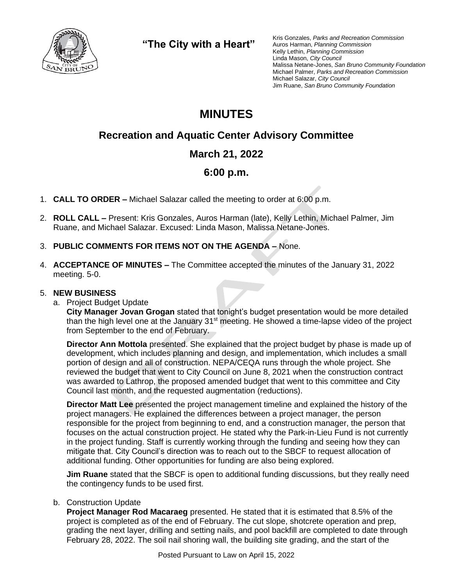

**"The City with a Heart"**

Kris Gonzales, *Parks and Recreation Commission* Auros Harman, *Planning Commission* Kelly Lethin, *Planning Commission* Linda Mason, *City Council* Malissa Netane-Jones, *San Bruno Community Foundation* Michael Palmer, *Parks and Recreation Commission* Michael Salazar, *City Council* Jim Ruane, *San Bruno Community Foundation*

# **MINUTES**

## **Recreation and Aquatic Center Advisory Committee**

### **March 21, 2022**

### **6:00 p.m.**

- 1. **CALL TO ORDER –** Michael Salazar called the meeting to order at 6:00 p.m.
- 2. **ROLL CALL –** Present: Kris Gonzales, Auros Harman (late), Kelly Lethin, Michael Palmer, Jim Ruane, and Michael Salazar. Excused: Linda Mason, Malissa Netane-Jones.
- 3. **PUBLIC COMMENTS FOR ITEMS NOT ON THE AGENDA –** None.
- 4. **ACCEPTANCE OF MINUTES –** The Committee accepted the minutes of the January 31, 2022 meeting. 5-0.

#### 5. **NEW BUSINESS**

a. Project Budget Update

**City Manager Jovan Grogan** stated that tonight's budget presentation would be more detailed than the high level one at the January  $31<sup>st</sup>$  meeting. He showed a time-lapse video of the project from September to the end of February.

**Director Ann Mottola** presented. She explained that the project budget by phase is made up of development, which includes planning and design, and implementation, which includes a small portion of design and all of construction. NEPA/CEQA runs through the whole project. She reviewed the budget that went to City Council on June 8, 2021 when the construction contract was awarded to Lathrop, the proposed amended budget that went to this committee and City Council last month, and the requested augmentation (reductions).

**Director Matt Lee** presented the project management timeline and explained the history of the project managers. He explained the differences between a project manager, the person responsible for the project from beginning to end, and a construction manager, the person that focuses on the actual construction project. He stated why the Park-in-Lieu Fund is not currently in the project funding. Staff is currently working through the funding and seeing how they can mitigate that. City Council's direction was to reach out to the SBCF to request allocation of additional funding. Other opportunities for funding are also being explored.

**Jim Ruane** stated that the SBCF is open to additional funding discussions, but they really need the contingency funds to be used first.

#### b. Construction Update

**Project Manager Rod Macaraeg** presented. He stated that it is estimated that 8.5% of the project is completed as of the end of February. The cut slope, shotcrete operation and prep, grading the next layer, drilling and setting nails, and pool backfill are completed to date through February 28, 2022. The soil nail shoring wall, the building site grading, and the start of the